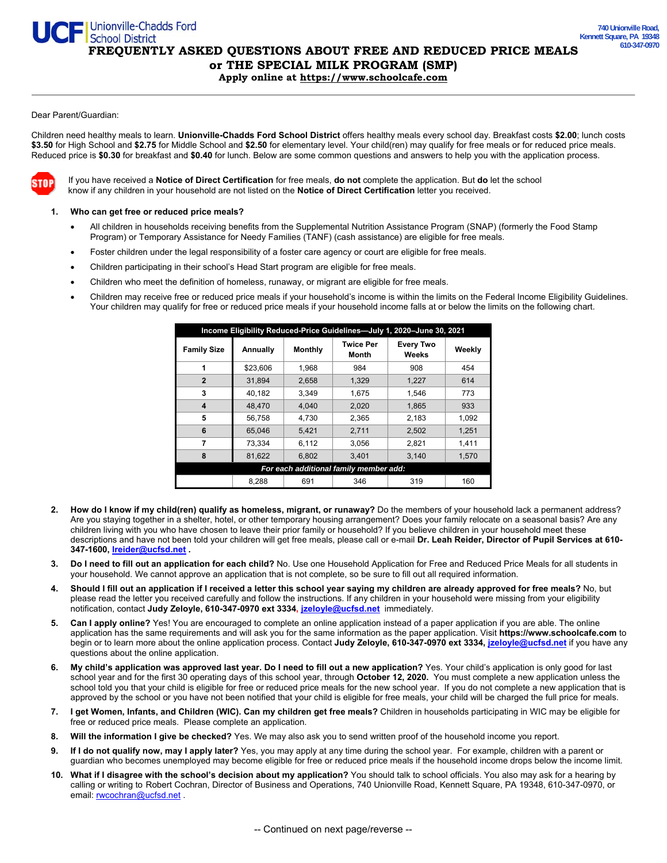**FREQUENTLY ASKED QUESTIONS ABOUT FREE AND REDUCED PRICE MEALS** 

**or THE SPECIAL MILK PROGRAM (SMP) Apply online at https://www.schoolcafe.com** 

## Dear Parent/Guardian:

Children need healthy meals to learn. **Unionville-Chadds Ford School District** offers healthy meals every school day. Breakfast costs **\$2.00**; lunch costs **\$3.50** for High School and **\$2.75** for Middle School and **\$2.50** for elementary level. Your child(ren) may qualify for free meals or for reduced price meals. Reduced price is **\$0.30** for breakfast and **\$0.40** for lunch. Below are some common questions and answers to help you with the application process.



If you have received a **Notice of Direct Certification** for free meals, **do not** complete the application. But **do** let the school know if any children in your household are not listed on the **Notice of Direct Certification** letter you received.

## **1. Who can get free or reduced price meals?**

Unionville-Chadds Ford<br>School District

- All children in households receiving benefits from the Supplemental Nutrition Assistance Program (SNAP) (formerly the Food Stamp Program) or Temporary Assistance for Needy Families (TANF) (cash assistance) are eligible for free meals.
- Foster children under the legal responsibility of a foster care agency or court are eligible for free meals.
- Children participating in their school's Head Start program are eligible for free meals.
- Children who meet the definition of homeless, runaway, or migrant are eligible for free meals.
- Children may receive free or reduced price meals if your household's income is within the limits on the Federal Income Eligibility Guidelines. Your children may qualify for free or reduced price meals if your household income falls at or below the limits on the following chart.

| Income Eligibility Reduced-Price Guidelines-July 1, 2020-June 30, 2021 |          |                |                           |                           |        |
|------------------------------------------------------------------------|----------|----------------|---------------------------|---------------------------|--------|
| <b>Family Size</b>                                                     | Annually | <b>Monthly</b> | <b>Twice Per</b><br>Month | <b>Every Two</b><br>Weeks | Weekly |
| 1                                                                      | \$23,606 | 1,968          | 984                       | 908                       | 454    |
| $\overline{2}$                                                         | 31,894   | 2,658          | 1,329                     | 1,227                     | 614    |
| 3                                                                      | 40.182   | 3.349          | 1.675                     | 1.546                     | 773    |
| $\overline{\bf{4}}$                                                    | 48.470   | 4.040          | 2.020                     | 1.865                     | 933    |
| 5                                                                      | 56,758   | 4.730          | 2.365                     | 2,183                     | 1.092  |
| 6                                                                      | 65.046   | 5.421          | 2,711                     | 2,502                     | 1,251  |
| 7                                                                      | 73,334   | 6,112          | 3,056                     | 2,821                     | 1,411  |
| 8                                                                      | 81,622   | 6.802          | 3.401                     | 3.140                     | 1.570  |
| For each additional family member add:                                 |          |                |                           |                           |        |
|                                                                        | 8.288    | 691            | 346                       | 319                       | 160    |

- **2. How do I know if my child(ren) qualify as homeless, migrant, or runaway?** Do the members of your household lack a permanent address? Are you staying together in a shelter, hotel, or other temporary housing arrangement? Does your family relocate on a seasonal basis? Are any children living with you who have chosen to leave their prior family or household? If you believe children in your household meet these descriptions and have not been told your children will get free meals, please call or e-mail **Dr. Leah Reider, Director of Pupil Services at 610- 347-1600, lreider@ucfsd.net .**
- **3. Do I need to fill out an application for each child?** No. Use one Household Application for Free and Reduced Price Meals for all students in your household. We cannot approve an application that is not complete, so be sure to fill out all required information.
- **4. Should I fill out an application if I received a letter this school year saying my children are already approved for free meals?** No, but please read the letter you received carefully and follow the instructions. If any children in your household were missing from your eligibility notification, contact **Judy Zeloyle, 610-347-0970 ext 3334, jzeloyle@ucfsd.net** immediately.
- **5. Can I apply online?** Yes! You are encouraged to complete an online application instead of a paper application if you are able. The online application has the same requirements and will ask you for the same information as the paper application. Visit **https://www.schoolcafe.com** to begin or to learn more about the online application process. Contact **Judy Zeloyle, 610-347-0970 ext 3334, jzeloyle@ucfsd.net** if you have any questions about the online application.
- **6. My child's application was approved last year. Do I need to fill out a new application?** Yes. Your child's application is only good for last school year and for the first 30 operating days of this school year, through **October 12, 2020.** You must complete a new application unless the school told you that your child is eligible for free or reduced price meals for the new school year. If you do not complete a new application that is approved by the school or you have not been notified that your child is eligible for free meals, your child will be charged the full price for meals.
- **7. I get Women, Infants, and Children (WIC). Can my children get free meals?** Children in households participating in WIC may be eligible for free or reduced price meals. Please complete an application.
- **8. Will the information I give be checked?** Yes. We may also ask you to send written proof of the household income you report.
- **9. If I do not qualify now, may I apply later?** Yes, you may apply at any time during the school year. For example, children with a parent or guardian who becomes unemployed may become eligible for free or reduced price meals if the household income drops below the income limit.
- **10. What if I disagree with the school's decision about my application?** You should talk to school officials. You also may ask for a hearing by calling or writing to Robert Cochran, Director of Business and Operations, 740 Unionville Road, Kennett Square, PA 19348, 610-347-0970, or email: **rwcochran@ucfsd.net** .

-- Continued on next page/reverse --